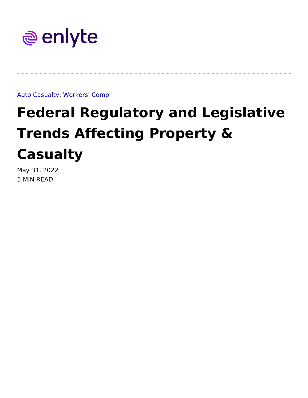#### Auto Casu, a Wtg rkers' Comp

# Federal Regulatory and Legisl Trends Affecting Property & Casualty

May 31, 2022 5 MIN READ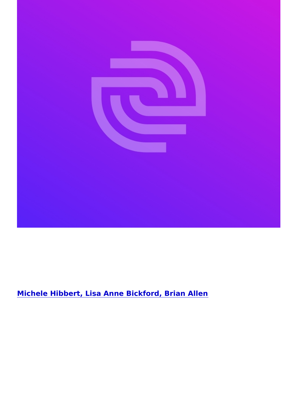[Michele Hibbert, Lisa Anne Bickford, B](https://www.enlyte.com/michele-hibbert-lisa-anne-bickford-brian-allen)rian Allen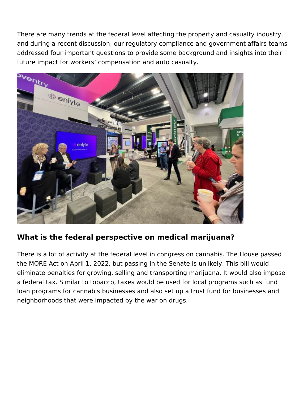There are many trends at the federal level affecting the property and casualty industry, and during a recent discussion, our regulatory compliance and government affairs teams addressed four important questions to provide some background and insights into their future impact for workers' compensation and auto casualty.



### **What is the federal perspective on medical marijuana?**

There is a lot of activity at the federal level in congress on cannabis. The House passed the MORE Act on April 1, 2022, but passing in the Senate is unlikely. This bill would eliminate penalties for growing, selling and transporting marijuana. It would also impose a federal tax. Similar to tobacco, taxes would be used for local programs such as fund loan programs for cannabis businesses and also set up a trust fund for businesses and neighborhoods that were impacted by the war on drugs.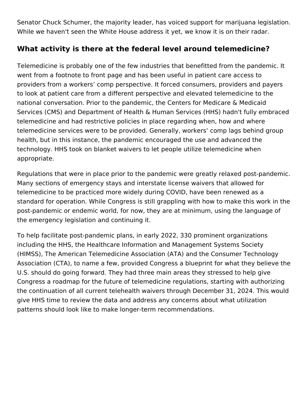Senator Chuck Schumer, the majority leader, has voiced support for marijuana legislation. While we haven't seen the White House address it yet, we know it is on their radar.

# **What activity is there at the federal level around telemedicine?**

Telemedicine is probably one of the few industries that benefitted from the pandemic. It went from a footnote to front page and has been useful in patient care access to providers from a workers' comp perspective. It forced consumers, providers and payers to look at patient care from a different perspective and elevated telemedicine to the national conversation. Prior to the pandemic, the Centers for Medicare & Medicaid Services (CMS) and Department of Health & Human Services (HHS) hadn't fully embraced telemedicine and had restrictive policies in place regarding when, how and where telemedicine services were to be provided. Generally, workers' comp lags behind group health, but in this instance, the pandemic encouraged the use and advanced the technology. HHS took on blanket waivers to let people utilize telemedicine when appropriate.

Regulations that were in place prior to the pandemic were greatly relaxed post-pandemic. Many sections of emergency stays and interstate license waivers that allowed for telemedicine to be practiced more widely during COVID, have been renewed as a standard for operation. While Congress is still grappling with how to make this work in the post-pandemic or endemic world, for now, they are at minimum, using the language of the emergency legislation and continuing it.

To help facilitate post-pandemic plans, in early 2022, 330 prominent organizations including the HHS, the Healthcare Information and Management Systems Society (HIMSS), The American Telemedicine Association (ATA) and the Consumer Technology Association (CTA), to name a few, provided Congress a blueprint for what they believe the U.S. should do going forward. They had three main areas they stressed to help give Congress a roadmap for the future of telemedicine regulations, starting with authorizing the continuation of all current telehealth waivers through December 31, 2024. This would give HHS time to review the data and address any concerns about what utilization patterns should look like to make longer-term recommendations.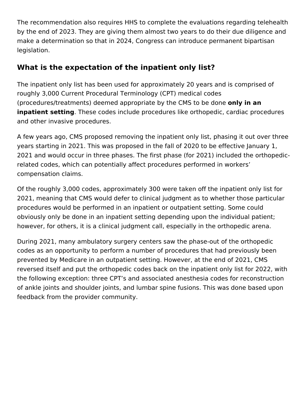The recommendation also requires HHS to complete the evaluations regarding telehealth by the end of 2023. They are giving them almost two years to do their due diligence and make a determination so that in 2024, Congress can introduce permanent bipartisan legislation.

# **What is the expectation of the inpatient only list?**

The inpatient only list has been used for approximately 20 years and is comprised of roughly 3,000 Current Procedural Terminology (CPT) medical codes (procedures/treatments) deemed appropriate by the CMS to be done **only in an inpatient setting**. These codes include procedures like orthopedic, cardiac procedures and other invasive procedures.

A few years ago, CMS proposed removing the inpatient only list, phasing it out over three years starting in 2021. This was proposed in the fall of 2020 to be effective January 1, 2021 and would occur in three phases. The first phase (for 2021) included the orthopedicrelated codes, which can potentially affect procedures performed in workers' compensation claims.

Of the roughly 3,000 codes, approximately 300 were taken off the inpatient only list for 2021, meaning that CMS would defer to clinical judgment as to whether those particular procedures would be performed in an inpatient or outpatient setting. Some could obviously only be done in an inpatient setting depending upon the individual patient; however, for others, it is a clinical judgment call, especially in the orthopedic arena.

During 2021, many ambulatory surgery centers saw the phase-out of the orthopedic codes as an opportunity to perform a number of procedures that had previously been prevented by Medicare in an outpatient setting. However, at the end of 2021, CMS reversed itself and put the orthopedic codes back on the inpatient only list for 2022, with the following exception: three CPT's and associated anesthesia codes for reconstruction of ankle joints and shoulder joints, and lumbar spine fusions. This was done based upon feedback from the provider community.